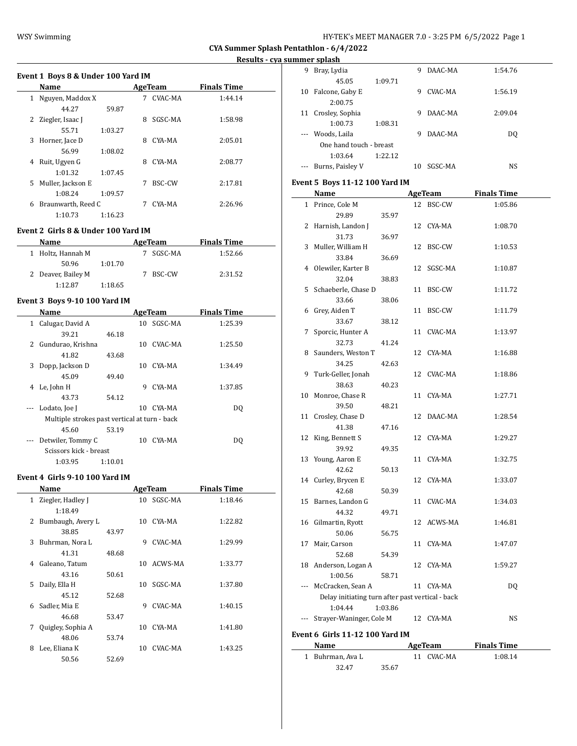| HY-TEK's MEET MANAGER 7.0 - 3:25 PM  6/5/2022  Page 1 |  |  |  |
|-------------------------------------------------------|--|--|--|
|-------------------------------------------------------|--|--|--|

**Results - cya summer splash**

|    | Event 1 Boys 8 & Under 100 Yard IM |         |   |         |                    |  |  |  |  |  |
|----|------------------------------------|---------|---|---------|--------------------|--|--|--|--|--|
|    | Name                               |         |   | AgeTeam | <b>Finals Time</b> |  |  |  |  |  |
| 1  | Nguyen, Maddox X                   |         |   | CVAC-MA | 1:44.14            |  |  |  |  |  |
|    | 44.27                              | 59.87   |   |         |                    |  |  |  |  |  |
| 2  | Ziegler, Isaac J                   |         | 8 | SGSC-MA | 1:58.98            |  |  |  |  |  |
|    | 55.71                              | 1:03.27 |   |         |                    |  |  |  |  |  |
| 3  | Horner, Jace D                     |         | 8 | CYA-MA  | 2:05.01            |  |  |  |  |  |
|    | 56.99                              | 1:08.02 |   |         |                    |  |  |  |  |  |
| 4  | Ruit, Ugyen G                      |         | 8 | CYA-MA  | 2:08.77            |  |  |  |  |  |
|    | 1:01.32                            | 1:07.45 |   |         |                    |  |  |  |  |  |
| 5. | Muller, Jackson E                  |         | 7 | BSC-CW  | 2:17.81            |  |  |  |  |  |
|    | 1:08.24                            | 1:09.57 |   |         |                    |  |  |  |  |  |
| 6  | Braunwarth, Reed C                 |         |   | CYA-MA  | 2:26.96            |  |  |  |  |  |
|    | 1:10.73                            | 1:16.23 |   |         |                    |  |  |  |  |  |

#### **Event 2 Girls 8 & Under 100 Yard IM**

| Name               | AgeTeam | <b>Finals Time</b> |         |  |
|--------------------|---------|--------------------|---------|--|
| 1 Holtz, Hannah M  |         | SGSC-MA            | 1:52.66 |  |
| 50.96              | 1:01.70 |                    |         |  |
| 2 Deaver, Bailey M |         | BSC-CW             | 2:31.52 |  |
| 1:12.87            | 1:18.65 |                    |         |  |

### **Event 3 Boys 9-10 100 Yard IM**

|                          | Name                                          |         |    | AgeTeam | <b>Finals Time</b> |  |
|--------------------------|-----------------------------------------------|---------|----|---------|--------------------|--|
| 1                        | Calugar, David A                              |         | 10 | SGSC-MA | 1:25.39            |  |
|                          | 39.21                                         | 46.18   |    |         |                    |  |
| 2                        | Gundurao, Krishna                             |         | 10 | CVAC-MA | 1:25.50            |  |
|                          | 41.82                                         | 43.68   |    |         |                    |  |
| 3                        | Dopp, Jackson D                               |         | 10 | CYA-MA  | 1:34.49            |  |
|                          | 45.09                                         | 49.40   |    |         |                    |  |
| 4                        | Le, John H                                    |         | 9  | CYA-MA  | 1:37.85            |  |
|                          | 43.73                                         | 54.12   |    |         |                    |  |
| $\overline{\phantom{a}}$ | Lodato, Joe J                                 |         | 10 | CYA-MA  | DQ                 |  |
|                          | Multiple strokes past vertical at turn - back |         |    |         |                    |  |
|                          | 45.60                                         | 53.19   |    |         |                    |  |
|                          | Detwiler, Tommy C                             |         | 10 | CYA-MA  | DQ                 |  |
|                          | Scissors kick - breast                        |         |    |         |                    |  |
|                          | 1:03.95                                       | 1:10.01 |    |         |                    |  |

#### **Event 4 Girls 9-10 100 Yard IM**

|   | Name              |       |    | AgeTeam        | <b>Finals Time</b> |
|---|-------------------|-------|----|----------------|--------------------|
| 1 | Ziegler, Hadley J |       | 10 | SGSC-MA        | 1:18.46            |
|   | 1:18.49           |       |    |                |                    |
| 2 | Bumbaugh, Avery L |       | 10 | CYA-MA         | 1:22.82            |
|   | 38.85             | 43.97 |    |                |                    |
| 3 | Buhrman, Nora L   |       | 9  | CVAC-MA        | 1:29.99            |
|   | 41.31             | 48.68 |    |                |                    |
| 4 | Galeano, Tatum    |       | 10 | ACWS-MA        | 1:33.77            |
|   | 43.16             | 50.61 |    |                |                    |
| 5 | Daily, Ella H     |       | 10 | SGSC-MA        | 1:37.80            |
|   | 45.12             | 52.68 |    |                |                    |
| 6 | Sadler, Mia E     |       | 9  | CVAC-MA        | 1:40.15            |
|   | 46.68             | 53.47 |    |                |                    |
| 7 | Quigley, Sophia A |       | 10 | CYA-MA         | 1:41.80            |
|   | 48.06             | 53.74 |    |                |                    |
| 8 | Lee, Eliana K     |       | 10 | <b>CVAC-MA</b> | 1:43.25            |
|   | 50.56             | 52.69 |    |                |                    |

|    | nmer spiasn             |         |    |         |         |  |
|----|-------------------------|---------|----|---------|---------|--|
| 9  | Bray, Lydia             |         | 9  | DAAC-MA | 1:54.76 |  |
|    | 45.05                   | 1:09.71 |    |         |         |  |
| 10 | Falcone, Gaby E         |         | 9  | CVAC-MA | 1:56.19 |  |
|    | 2:00.75                 |         |    |         |         |  |
| 11 | Crosley, Sophia         |         | 9  | DAAC-MA | 2:09.04 |  |
|    | 1:00.73                 | 1:08.31 |    |         |         |  |
|    | Woods, Laila            |         | 9  | DAAC-MA | DO.     |  |
|    | One hand touch - breast |         |    |         |         |  |
|    | 1:03.64                 | 1:22.12 |    |         |         |  |
|    | Burns, Paisley V        |         | 10 | SGSC-MA | NS      |  |
|    |                         |         |    |         |         |  |

# **Event 5 Boys 11-12 100 Yard IM**

|       | Name                                             |         | <u>AgeTeam</u> | <b>Finals Time</b> |
|-------|--------------------------------------------------|---------|----------------|--------------------|
|       | 1 Prince, Cole M                                 |         | 12 BSC-CW      | 1:05.86            |
|       | 29.89                                            | 35.97   |                |                    |
| 2     | Harnish, Landon J                                |         | 12 CYA-MA      | 1:08.70            |
|       | 31.73                                            | 36.97   |                |                    |
| 3     | Muller, William H                                |         | 12 BSC-CW      | 1:10.53            |
|       | 33.84                                            | 36.69   |                |                    |
|       | 4 Olewiler, Karter B                             |         | 12 SGSC-MA     | 1:10.87            |
|       | 32.04                                            | 38.83   |                |                    |
| 5     | Schaeberle, Chase D                              |         | 11 BSC-CW      | 1:11.72            |
|       | 33.66                                            | 38.06   |                |                    |
| 6     | Grey, Aiden T                                    |         | 11 BSC-CW      | 1:11.79            |
|       | 33.67                                            | 38.12   |                |                    |
| 7     | Sporcic, Hunter A                                |         | 11 CVAC-MA     | 1:13.97            |
|       | 32.73                                            | 41.24   |                |                    |
|       | 8 Saunders, Weston T                             |         | 12 CYA-MA      | 1:16.88            |
|       | 34.25                                            | 42.63   |                |                    |
|       | 9 Turk-Geller, Jonah                             |         | 12 CVAC-MA     | 1:18.86            |
|       | 38.63                                            | 40.23   |                |                    |
|       | 10 Monroe, Chase R                               |         | 11 CYA-MA      | 1:27.71            |
|       | 39.50                                            | 48.21   |                |                    |
|       | 11 Crosley, Chase D                              |         | 12 DAAC-MA     | 1:28.54            |
|       | 41.38                                            | 47.16   |                |                    |
|       | 12 King, Bennett S                               |         | 12 CYA-MA      | 1:29.27            |
|       | 39.92                                            | 49.35   |                |                    |
|       | 13 Young, Aaron E                                |         | 11 CYA-MA      | 1:32.75            |
|       | 42.62                                            | 50.13   |                |                    |
|       | 14 Curley, Brycen E                              |         | 12 CYA-MA      | 1:33.07            |
|       | 42.68                                            | 50.39   |                |                    |
|       | 15 Barnes, Landon G                              |         | 11 CVAC-MA     | 1:34.03            |
|       | 44.32                                            | 49.71   |                |                    |
|       | 16 Gilmartin, Ryott                              |         | 12 ACWS-MA     | 1:46.81            |
|       | 50.06                                            | 56.75   |                |                    |
|       | 17 Mair, Carson                                  |         | 11 CYA-MA      | 1:47.07            |
|       | 52.68                                            | 54.39   |                |                    |
|       | 18 Anderson, Logan A                             |         | 12 CYA-MA      | 1:59.27            |
|       | 1:00.56                                          | 58.71   |                |                    |
|       | --- McCracken, Sean A                            |         | 11 CYA-MA      | DQ                 |
|       | Delay initiating turn after past vertical - back |         |                |                    |
|       | 1:04.44                                          | 1:03.86 |                |                    |
| $---$ | Strayer-Waninger, Cole M                         |         | 12 CYA-MA      | NS                 |
|       | Event 6 Girls 11-12 100 Yard IM                  |         |                |                    |
|       | <b>Name</b>                                      |         | AgeTeam        | <b>Finals Time</b> |
|       | 1 Buhrman, Ava L                                 |         | 11 CVAC-MA     | 1:08.14            |
|       | 32.47                                            | 35.67   |                |                    |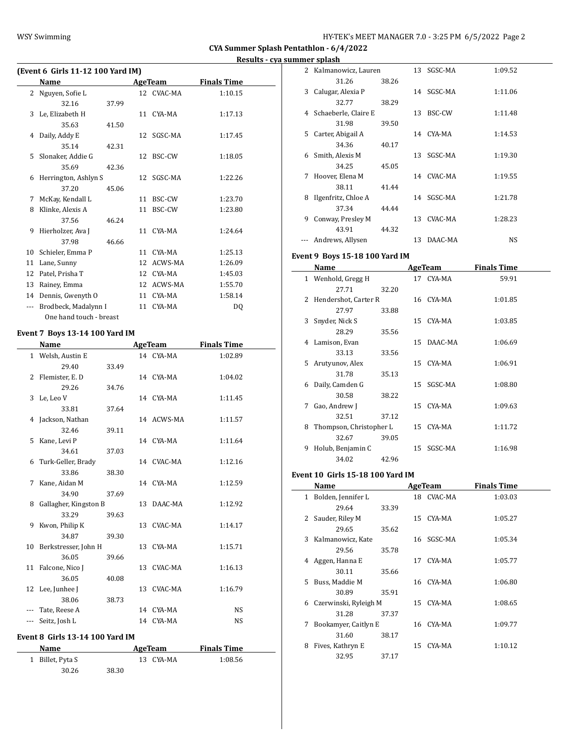# WSY Swimming WSY Swimming HY-TEK's MEET MANAGER 7.0 - 3:25 PM 6/5/2022 Page 2

**CYA Summer Splash Pentathlon - 6/4/2022**

**Results - cya summer splash**

|     | (Event 6 Girls 11-12 100 Yard IM) |       |    |            |                    |  |  |  |  |  |
|-----|-----------------------------------|-------|----|------------|--------------------|--|--|--|--|--|
|     | Name                              |       |    | AgeTeam    | <b>Finals Time</b> |  |  |  |  |  |
| 2   | Nguyen, Sofie L                   |       |    | 12 CVAC-MA | 1:10.15            |  |  |  |  |  |
|     | 32.16                             | 37.99 |    |            |                    |  |  |  |  |  |
| 3   | Le, Elizabeth H                   |       | 11 | CYA-MA     | 1:17.13            |  |  |  |  |  |
|     | 35.63                             | 41.50 |    |            |                    |  |  |  |  |  |
| 4   | Daily, Addy E                     |       | 12 | SGSC-MA    | 1:17.45            |  |  |  |  |  |
|     | 35.14                             | 42.31 |    |            |                    |  |  |  |  |  |
| 5   | Slonaker, Addie G                 |       | 12 | BSC-CW     | 1:18.05            |  |  |  |  |  |
|     | 35.69                             | 42.36 |    |            |                    |  |  |  |  |  |
| 6   | Herrington, Ashlyn S              |       |    | 12 SGSC-MA | 1:22.26            |  |  |  |  |  |
|     | 37.20                             | 45.06 |    |            |                    |  |  |  |  |  |
| 7   | McKay, Kendall L                  |       | 11 | BSC-CW     | 1:23.70            |  |  |  |  |  |
| 8   | Klinke, Alexis A                  |       | 11 | BSC-CW     | 1:23.80            |  |  |  |  |  |
|     | 37.56                             | 46.24 |    |            |                    |  |  |  |  |  |
| 9   | Hierholzer, Ava J                 |       | 11 | CYA-MA     | 1:24.64            |  |  |  |  |  |
|     | 37.98                             | 46.66 |    |            |                    |  |  |  |  |  |
| 10  | Schieler, Emma P                  |       | 11 | CYA-MA     | 1:25.13            |  |  |  |  |  |
| 11  | Lane, Sunny                       |       | 12 | ACWS-MA    | 1:26.09            |  |  |  |  |  |
| 12  | Patel, Prisha T                   |       | 12 | CYA-MA     | 1:45.03            |  |  |  |  |  |
| 13  | Rainey, Emma                      |       | 12 | ACWS-MA    | 1:55.70            |  |  |  |  |  |
| 14  | Dennis, Gwenyth O                 |       | 11 | CYA-MA     | 1:58.14            |  |  |  |  |  |
| --- | Brodbeck, Madalynn I              |       | 11 | CYA-MA     | DO.                |  |  |  |  |  |
|     | One hand touch - breast           |       |    |            |                    |  |  |  |  |  |

### **Event 7 Boys 13-14 100 Yard IM**

 $\overline{a}$ 

|     | Name                            |       | <b>AgeTeam</b> |            | <b>Finals Time</b> |
|-----|---------------------------------|-------|----------------|------------|--------------------|
|     | 1 Welsh, Austin E               |       |                | 14 CYA-MA  | 1:02.89            |
|     | 29.40                           | 33.49 |                |            |                    |
|     | 2 Flemister, E.D                |       |                | 14 CYA-MA  | 1:04.02            |
|     | 29.26                           | 34.76 |                |            |                    |
| 3   | Le, Leo V                       |       |                | 14 CYA-MA  | 1:11.45            |
|     | 33.81                           | 37.64 |                |            |                    |
|     | 4 Jackson, Nathan               |       |                | 14 ACWS-MA | 1:11.57            |
|     | 32.46                           | 39.11 |                |            |                    |
| 5.  | Kane, Levi P                    |       |                | 14 CYA-MA  | 1:11.64            |
|     | 34.61                           | 37.03 |                |            |                    |
|     | 6 Turk-Geller, Brady            |       |                | 14 CVAC-MA | 1:12.16            |
|     | 33.86                           | 38.30 |                |            |                    |
| 7   | Kane, Aidan M                   |       |                | 14 CYA-MA  | 1:12.59            |
|     | 34.90                           | 37.69 |                |            |                    |
| 8   | Gallagher, Kingston B           |       |                | 13 DAAC-MA | 1:12.92            |
|     | 33.29                           | 39.63 |                |            |                    |
| 9   | Kwon, Philip K                  |       |                | 13 CVAC-MA | 1:14.17            |
|     | 34.87                           | 39.30 |                |            |                    |
|     | 10 Berkstresser, John H         |       |                | 13 CYA-MA  | 1:15.71            |
|     | 36.05                           | 39.66 |                |            |                    |
|     | 11 Falcone, Nico J              |       |                | 13 CVAC-MA | 1:16.13            |
|     | 36.05                           | 40.08 |                |            |                    |
|     | 12 Lee, Junhee J                |       |                | 13 CVAC-MA | 1:16.79            |
|     | 38.06                           | 38.73 |                |            |                    |
|     | Tate, Reese A                   |       |                | 14 CYA-MA  | <b>NS</b>          |
| --- | Seitz, Josh L                   |       | 14             | CYA-MA     | <b>NS</b>          |
|     | vent 8. Cirls 13.14.100 Vard IM |       |                |            |                    |

# **Event 8 Girls 13-14 100 Yard IM**

| <b>Name</b>      |       | AgeTeam   | <b>Finals Time</b> |  |
|------------------|-------|-----------|--------------------|--|
| 1 Billet, Pyta S |       | 13 CYA-MA | 1:08.56            |  |
| 30.26            | 38.30 |           |                    |  |

|    | ппег ѕрғаѕп            |       |    |            |           |
|----|------------------------|-------|----|------------|-----------|
|    | 2 Kalmanowicz, Lauren  |       |    | 13 SGSC-MA | 1:09.52   |
|    | 31.26                  | 38.26 |    |            |           |
| 3  | Calugar, Alexia P      |       |    | 14 SGSC-MA | 1:11.06   |
|    | 32.77                  | 38.29 |    |            |           |
|    | 4 Schaeberle, Claire E |       | 13 | BSC-CW     | 1:11.48   |
|    | 31.98                  | 39.50 |    |            |           |
| 5. | Carter, Abigail A      |       |    | 14 CYA-MA  | 1:14.53   |
|    | 34.36                  | 40.17 |    |            |           |
| 6  | Smith, Alexis M        |       |    | 13 SGSC-MA | 1:19.30   |
|    | 34.25                  | 45.05 |    |            |           |
| 7  | Hoover, Elena M        |       |    | 14 CVAC-MA | 1:19.55   |
|    | 38.11                  | 41.44 |    |            |           |
| 8  | Ilgenfritz, Chloe A    |       |    | 14 SGSC-MA | 1:21.78   |
|    | 37.34                  | 44.44 |    |            |           |
| 9  | Conway, Presley M      |       |    | 13 CVAC-MA | 1:28.23   |
|    | 43.91                  | 44.32 |    |            |           |
|    | Andrews, Allysen       |       | 13 | DAAC-MA    | <b>NS</b> |

### **Event 9 Boys 15-18 100 Yard IM**

|   | Name                    | AgeTeam |    |            | <b>Finals Time</b> |  |
|---|-------------------------|---------|----|------------|--------------------|--|
|   | 1 Wenhold, Gregg H      |         | 17 | CYA-MA     | 59.91              |  |
|   | 27.71                   | 32.20   |    |            |                    |  |
| 2 | Hendershot, Carter R    |         |    | 16 CYA-MA  | 1:01.85            |  |
|   | 27.97                   | 33.88   |    |            |                    |  |
| 3 | Snyder, Nick S          |         |    | 15 CYA-MA  | 1:03.85            |  |
|   | 28.29                   | 35.56   |    |            |                    |  |
| 4 | Lamison, Evan           |         | 15 | DAAC-MA    | 1:06.69            |  |
|   | 33.13                   | 33.56   |    |            |                    |  |
|   | 5 Arutyunov, Alex       |         |    | 15 CYA-MA  | 1:06.91            |  |
|   | 31.78                   | 35.13   |    |            |                    |  |
| 6 | Daily, Camden G         |         |    | 15 SGSC-MA | 1:08.80            |  |
|   | 30.58                   | 38.22   |    |            |                    |  |
| 7 | Gao, Andrew J           |         |    | 15 CYA-MA  | 1:09.63            |  |
|   | 32.51                   | 37.12   |    |            |                    |  |
| 8 | Thompson, Christopher L |         |    | 15 CYA-MA  | 1:11.72            |  |
|   | 32.67                   | 39.05   |    |            |                    |  |
| 9 | Holub, Benjamin C       |         | 15 | SGSC-MA    | 1:16.98            |  |
|   | 34.02                   | 42.96   |    |            |                    |  |

#### **Event 10 Girls 15-18 100 Yard IM**

|              | Name                  |       |    | AgeTeam    | <b>Finals Time</b> |
|--------------|-----------------------|-------|----|------------|--------------------|
| $\mathbf{1}$ | Bolden, Jennifer L    |       |    | 18 CVAC-MA | 1:03.03            |
|              | 29.64                 | 33.39 |    |            |                    |
| 2            | Sauder, Riley M       |       |    | 15 CYA-MA  | 1:05.27            |
|              | 29.65                 | 35.62 |    |            |                    |
| 3            | Kalmanowicz, Kate     |       | 16 | SGSC-MA    | 1:05.34            |
|              | 29.56                 | 35.78 |    |            |                    |
|              | 4 Aggen, Hanna E      |       | 17 | CYA-MA     | 1:05.77            |
|              | 30.11                 | 35.66 |    |            |                    |
| 5.           | Buss, Maddie M        |       |    | 16 CYA-MA  | 1:06.80            |
|              | 30.89                 | 35.91 |    |            |                    |
| 6            | Czerwinski, Ryleigh M |       |    | 15 CYA-MA  | 1:08.65            |
|              | 31.28                 | 37.37 |    |            |                    |
| 7            | Bookamyer, Caitlyn E  |       |    | 16 CYA-MA  | 1:09.77            |
|              | 31.60                 | 38.17 |    |            |                    |
| 8            | Fives, Kathryn E      |       | 15 | CYA-MA     | 1:10.12            |
|              | 32.95                 | 37.17 |    |            |                    |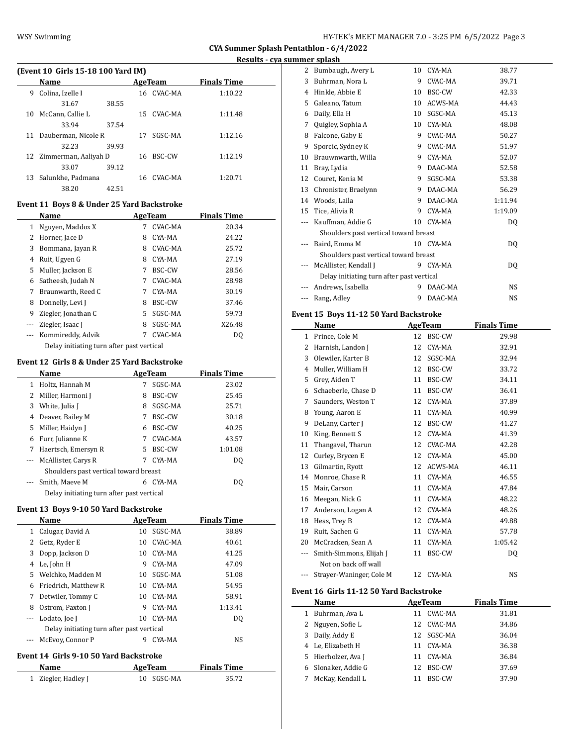| (Event 10 Girls 15-18 100 Yard IM) |                         |       |    |            |                    |  |
|------------------------------------|-------------------------|-------|----|------------|--------------------|--|
|                                    | <b>Name</b>             |       |    | AgeTeam    | <b>Finals Time</b> |  |
| 9                                  | Colina, Izelle I        |       |    | 16 CVAC-MA | 1:10.22            |  |
|                                    | 31.67                   | 38.55 |    |            |                    |  |
|                                    | 10 McCann, Callie L     |       |    | 15 CVAC-MA | 1:11.48            |  |
|                                    | 33.94                   | 37.54 |    |            |                    |  |
|                                    | 11 Dauberman, Nicole R  |       | 17 | SGSC-MA    | 1:12.16            |  |
|                                    | 32.23                   | 39.93 |    |            |                    |  |
|                                    | 12 Zimmerman, Aaliyah D |       |    | 16 BSC-CW  | 1:12.19            |  |
|                                    | 33.07                   | 39.12 |    |            |                    |  |
|                                    | 13 Salunkhe, Padmana    |       |    | 16 CVAC-MA | 1:20.71            |  |
|                                    | 38.20                   | 42.51 |    |            |                    |  |

### **Event 11 Boys 8 & Under 25 Yard Backstroke**

|                                           | Name                |    | <b>AgeTeam</b> | <b>Finals Time</b> |  |
|-------------------------------------------|---------------------|----|----------------|--------------------|--|
| 1                                         | Nguyen, Maddox X    | 7  | <b>CVAC-MA</b> | 20.34              |  |
| 2                                         | Horner, Jace D      | 8  | CYA-MA         | 24.22              |  |
| 3                                         | Bommana, Jayan R    | 8  | CVAC-MA        | 25.72              |  |
| 4                                         | Ruit, Ugyen G       | 8  | CYA-MA         | 27.19              |  |
| 5                                         | Muller, Jackson E   | 7  | BSC-CW         | 28.56              |  |
| 6                                         | Satheesh, Judah N   | 7  | CVAC-MA        | 28.98              |  |
| 7                                         | Braunwarth, Reed C  | 7  | CYA-MA         | 30.19              |  |
| 8                                         | Donnelly, Levi J    | 8  | BSC-CW         | 37.46              |  |
| 9                                         | Ziegler, Jonathan C | 5. | SGSC-MA        | 59.73              |  |
|                                           | Ziegler, Isaac J    | 8  | SGSC-MA        | X26.48             |  |
|                                           | Kommireddy, Advik   | 7  | CVAC-MA        | DO.                |  |
| Delay initiating turn after past vertical |                     |    |                |                    |  |

#### **Event 12 Girls 8 & Under 25 Yard Backstroke**

|                                           | Name                |    | <b>AgeTeam</b> | <b>Finals Time</b> |  |
|-------------------------------------------|---------------------|----|----------------|--------------------|--|
| 1                                         | Holtz, Hannah M     |    | SGSC-MA        | 23.02              |  |
| 2                                         | Miller, Harmoni J   | 8  | BSC-CW         | 25.45              |  |
| 3                                         | White, Julia J      | 8  | SGSC-MA        | 25.71              |  |
| 4                                         | Deaver, Bailey M    | 7  | BSC-CW         | 30.18              |  |
|                                           | 5 Miller, Haidyn J  | 6  | <b>BSC-CW</b>  | 40.25              |  |
| 6                                         | Furr, Julianne K    |    | CVAC-MA        | 43.57              |  |
| 7                                         | Haertsch, Emersyn R | 5. | <b>BSC-CW</b>  | 1:01.08            |  |
| $\cdots$                                  | McAllister, Carys R | 7  | CYA-MA         | DQ                 |  |
| Shoulders past vertical toward breast     |                     |    |                |                    |  |
|                                           | Smith, Maeve M      | 6  | CYA-MA         | DO.                |  |
| Delay initiating turn after past vertical |                     |    |                |                    |  |

#### **Event 13 Boys 9-10 50 Yard Backstroke**

|          | Name                                      |    | AgeTeam | <b>Finals Time</b> |  |  |  |
|----------|-------------------------------------------|----|---------|--------------------|--|--|--|
| 1        | Calugar, David A                          | 10 | SGSC-MA | 38.89              |  |  |  |
|          | 2 Getz, Ryder E                           | 10 | CVAC-MA | 40.61              |  |  |  |
| 3        | Dopp, Jackson D                           | 10 | CYA-MA  | 41.25              |  |  |  |
| 4        | Le, John H                                | 9  | CYA-MA  | 47.09              |  |  |  |
| 5.       | Welchko. Madden M                         | 10 | SGSC-MA | 51.08              |  |  |  |
| 6        | Friedrich. Matthew R                      | 10 | CYA-MA  | 54.95              |  |  |  |
| 7        | Detwiler, Tommy C                         | 10 | CYA-MA  | 58.91              |  |  |  |
| 8        | Ostrom, Paxton J                          | 9  | CYA-MA  | 1:13.41            |  |  |  |
| $\cdots$ | Lodato, Joe J                             | 10 | CYA-MA  | DO.                |  |  |  |
|          | Delay initiating turn after past vertical |    |         |                    |  |  |  |
|          | McEvoy, Connor P                          | 9  | CYA-MA  | NS.                |  |  |  |

#### **Event 14 Girls 9-10 50 Yard Backstroke**

| Name                | AgeTeam    | <b>Finals Time</b> |  |
|---------------------|------------|--------------------|--|
| 1 Ziegler, Hadley J | 10 SGSC-MA | 35.72              |  |

| 2  | Bumbaugh, Avery L                         | 10 | CYA-MA    | 38.77          |
|----|-------------------------------------------|----|-----------|----------------|
| 3  | Buhrman, Nora L                           | 9  | CVAC-MA   | 39.71          |
| 4  | Hinkle, Abbie E                           | 10 | BSC-CW    | 42.33          |
| 5  | Galeano, Tatum                            | 10 | ACWS-MA   | 44.43          |
| 6  | Daily, Ella H                             | 10 | SGSC-MA   | 45.13          |
| 7  | Quigley, Sophia A                         | 10 | CYA-MA    | 48.08          |
| 8  | Falcone, Gaby E                           | 9  | CVAC-MA   | 50.27          |
| 9  | Sporcic, Sydney K                         | 9  | CVAC-MA   | 51.97          |
| 10 | Brauwnwarth, Willa                        | 9  | CYA-MA    | 52.07          |
| 11 | Bray, Lydia                               | 9  | DAAC-MA   | 52.58          |
| 12 | Couret, Kenia M                           | 9  | SGSC-MA   | 53.38          |
| 13 | Chronister, Braelynn                      | 9  | DAAC-MA   | 56.29          |
| 14 | Woods, Laila                              | 9  | DAAC-MA   | 1:11.94        |
| 15 | Tice, Alivia R                            | 9  | CYA-MA    | 1:19.09        |
|    | Kauffman, Addie G                         | 10 | CYA-MA    | DQ             |
|    | Shoulders past vertical toward breast     |    |           |                |
|    | Baird, Emma M                             |    | 10 CYA-MA | D <sub>0</sub> |
|    | Shoulders past vertical toward breast     |    |           |                |
|    | McAllister, Kendall J                     | 9  | CYA-MA    | D <sub>0</sub> |
|    | Delay initiating turn after past vertical |    |           |                |
|    | Andrews, Isabella                         | 9  | DAAC-MA   | NS.            |
|    | Rang, Adley                               | 9  | DAAC-MA   | <b>NS</b>      |

## **Event 15 Boys 11-12 50 Yard Backstroke**

|     | Name                                    |    | <b>AgeTeam</b> | <b>Finals Time</b> |  |
|-----|-----------------------------------------|----|----------------|--------------------|--|
| 1   | Prince, Cole M                          | 12 | BSC-CW         | 29.98              |  |
| 2   | Harnish, Landon J                       | 12 | CYA-MA         | 32.91              |  |
| 3   | Olewiler, Karter B                      | 12 | SGSC-MA        | 32.94              |  |
| 4   | Muller, William H                       | 12 | BSC-CW         | 33.72              |  |
| 5   | Grey, Aiden T                           | 11 | BSC-CW         | 34.11              |  |
| 6   | Schaeberle, Chase D                     | 11 | BSC-CW         | 36.41              |  |
| 7   | Saunders, Weston T                      | 12 | CYA-MA         | 37.89              |  |
| 8   | Young, Aaron E                          | 11 | CYA-MA         | 40.99              |  |
| 9   | DeLany, Carter J                        | 12 | BSC-CW         | 41.27              |  |
| 10  | King, Bennett S                         | 12 | CYA-MA         | 41.39              |  |
| 11  | Thangavel, Tharun                       | 12 | CVAC-MA        | 42.28              |  |
| 12  | Curley, Brycen E                        | 12 | CYA-MA         | 45.00              |  |
| 13  | Gilmartin, Ryott                        | 12 | ACWS-MA        | 46.11              |  |
| 14  | Monroe, Chase R                         | 11 | CYA-MA         | 46.55              |  |
| 15  | Mair, Carson                            | 11 | CYA-MA         | 47.84              |  |
| 16  | Meegan, Nick G                          | 11 | CYA-MA         | 48.22              |  |
| 17  | Anderson, Logan A                       | 12 | CYA-MA         | 48.26              |  |
| 18  | Hess, Trey B                            | 12 | CYA-MA         | 49.88              |  |
| 19  | Ruit, Sachen G                          | 11 | CYA-MA         | 57.78              |  |
| 20  | McCracken, Sean A                       | 11 | CYA-MA         | 1:05.42            |  |
| --- | Smith-Simmons, Elijah J                 | 11 | BSC-CW         | DQ                 |  |
|     | Not on back off wall                    |    |                |                    |  |
|     | Strayer-Waninger, Cole M                | 12 | CYA-MA         | <b>NS</b>          |  |
|     | Event 16 Girls 11-12 50 Yard Backstroke |    |                |                    |  |
|     | Name                                    |    | <b>AgeTeam</b> | <b>Finals Time</b> |  |
| 1   | Buhrman, Ava L                          | 11 | CVAC-MA        | 31.81              |  |
| 2   | Nguyen, Sofie L                         | 12 | CVAC-MA        | 34.86              |  |
| 3   | Daily, Addy E                           | 12 | SGSC-MA        | 36.04              |  |
| 4   | Le, Elizabeth H                         | 11 | CYA-MA         | 36.38              |  |
| 5   | Hierholzer, Ava J                       | 11 | CYA-MA         | 36.84              |  |

 Slonaker, Addie G 12 BSC-CW 37.69 7 McKay, Kendall L 11 BSC-CW 37.90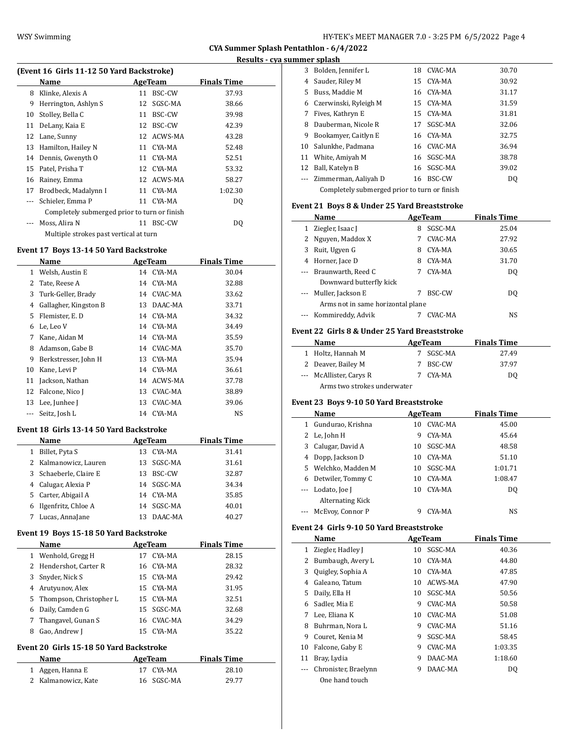$\overline{\phantom{a}}$ 

**CYA Summer Splash Pentathlon - 6/4/2022**

| (Event 16 Girls 11-12 50 Yard Backstroke) |                                              |    |            |         |  |  |  |
|-------------------------------------------|----------------------------------------------|----|------------|---------|--|--|--|
| Name<br>Finals Time<br>AgeTeam            |                                              |    |            |         |  |  |  |
| 8                                         | Klinke, Alexis A                             | 11 | BSC-CW     | 37.93   |  |  |  |
| 9                                         | Herrington, Ashlyn S                         | 12 | SGSC-MA    | 38.66   |  |  |  |
| 10                                        | Stolley, Bella C                             | 11 | BSC-CW     | 39.98   |  |  |  |
| 11                                        | DeLany, Kaia E                               | 12 | BSC-CW     | 42.39   |  |  |  |
| 12                                        | Lane, Sunny                                  |    | 12 ACWS-MA | 43.28   |  |  |  |
| 13                                        | Hamilton, Hailey N                           |    | 11 CYA-MA  | 52.48   |  |  |  |
| 14                                        | Dennis, Gwenyth O                            | 11 | CYA-MA     | 52.51   |  |  |  |
| 15                                        | Patel, Prisha T                              |    | 12 CYA-MA  | 53.32   |  |  |  |
| 16                                        | Rainey, Emma                                 |    | 12 ACWS-MA | 58.27   |  |  |  |
| 17                                        | Brodbeck, Madalynn I                         |    | 11 CYA-MA  | 1:02.30 |  |  |  |
|                                           | Schieler, Emma P                             | 11 | CYA-MA     | DQ      |  |  |  |
|                                           | Completely submerged prior to turn or finish |    |            |         |  |  |  |
|                                           | Moss, Alira N                                | 11 | BSC-CW     | DO      |  |  |  |
| Multiple strokes past vertical at turn    |                                              |    |            |         |  |  |  |

### **Event 17 Boys 13-14 50 Yard Backstroke**

|    | Name                  |    | <b>AgeTeam</b> | <b>Finals Time</b> |
|----|-----------------------|----|----------------|--------------------|
| 1  | Welsh, Austin E       |    | 14 CYA-MA      | 30.04              |
| 2  | Tate, Reese A         | 14 | CYA-MA         | 32.88              |
| 3  | Turk-Geller, Brady    |    | 14 CVAC-MA     | 33.62              |
| 4  | Gallagher, Kingston B | 13 | DAAC-MA        | 33.71              |
| 5. | Flemister, E.D.       | 14 | CYA-MA         | 34.32              |
| 6  | Le, Leo V             | 14 | CYA-MA         | 34.49              |
| 7  | Kane, Aidan M         | 14 | CYA-MA         | 35.59              |
| 8  | Adamson, Gabe B       | 14 | CVAC-MA        | 35.70              |
| 9  | Berkstresser, John H  | 13 | CYA-MA         | 35.94              |
| 10 | Kane, Levi P          |    | 14 CYA-MA      | 36.61              |
| 11 | Jackson, Nathan       | 14 | ACWS-MA        | 37.78              |
| 12 | Falcone, Nico J       | 13 | CVAC-MA        | 38.89              |
| 13 | Lee, Junhee J         | 13 | CVAC-MA        | 39.06              |
|    | Seitz, Josh L         | 14 | CYA-MA         | NS                 |
|    |                       |    |                |                    |

### **Event 18 Girls 13-14 50 Yard Backstroke**

|   | Name                   | AgeTeam |               | <b>Finals Time</b> |
|---|------------------------|---------|---------------|--------------------|
| 1 | Billet, Pyta S         | 13.     | CYA-MA        | 31.41              |
|   | 2 Kalmanowicz, Lauren  |         | 13 SGSC-MA    | 31.61              |
|   | 3 Schaeberle, Claire E | 13.     | <b>BSC-CW</b> | 32.87              |
|   | 4 Calugar, Alexia P    |         | 14 SGSC-MA    | 34.34              |
|   | 5 Carter, Abigail A    | 14      | CYA-MA        | 35.85              |
| 6 | Ilgenfritz, Chloe A    | 14      | SGSC-MA       | 40.01              |
|   | Lucas, AnnaJane        |         | DAAC-MA       | 40.27              |

# **Event 19 Boys 15-18 50 Yard Backstroke**

|   | Name                      | AgeTeam |            | <b>Finals Time</b> |  |
|---|---------------------------|---------|------------|--------------------|--|
| 1 | Wenhold, Gregg H          | 17      | CYA-MA     | 28.15              |  |
|   | 2 Hendershot, Carter R    |         | 16 CYA-MA  | 28.32              |  |
| 3 | Snyder, Nick S            |         | 15 CYA-MA  | 29.42              |  |
| 4 | Arutyunov, Alex           |         | 15 CYA-MA  | 31.95              |  |
|   | 5 Thompson, Christopher L |         | 15 CYA-MA  | 32.51              |  |
| 6 | Daily, Camden G           |         | 15 SGSC-MA | 32.68              |  |
|   | Thangavel, Gunan S        |         | 16 CVAC-MA | 34.29              |  |
| 8 | Gao, Andrew J             |         | 15 CYA-MA  | 35.22              |  |

# **Event 20 Girls 15-18 50 Yard Backstroke**

| <b>Name</b>         | AgeTeam    | <b>Finals Time</b> |  |
|---------------------|------------|--------------------|--|
| 1 Aggen, Hanna E    | 17 CYA-MA  | 28.10              |  |
| 2 Kalmanowicz, Kate | 16 SGSC-MA | 29.77              |  |

|    | инист эрниэн                                 |    |            |       |  |  |
|----|----------------------------------------------|----|------------|-------|--|--|
| 3  | Bolden, Jennifer L                           | 18 | CVAC-MA    | 30.70 |  |  |
| 4  | Sauder, Riley M                              |    | 15 CYA-MA  | 30.92 |  |  |
| 5. | Buss, Maddie M                               |    | 16 CYA-MA  | 31.17 |  |  |
| 6  | Czerwinski, Ryleigh M                        |    | 15 CYA-MA  | 31.59 |  |  |
| 7  | Fives, Kathryn E                             |    | 15 CYA-MA  | 31.81 |  |  |
| 8  | Dauberman, Nicole R                          | 17 | SGSC-MA    | 32.06 |  |  |
| 9  | Bookamyer, Caitlyn E                         |    | 16 CYA-MA  | 32.75 |  |  |
| 10 | Salunkhe, Padmana                            |    | 16 CVAC-MA | 36.94 |  |  |
| 11 | White, Amiyah M                              |    | 16 SGSC-MA | 38.78 |  |  |
| 12 | Ball, Katelyn B                              |    | 16 SGSC-MA | 39.02 |  |  |
|    | Zimmerman, Aaliyah D                         | 16 | BSC-CW     | DQ    |  |  |
|    | Completely submerged prior to turn or finish |    |            |       |  |  |
|    |                                              |    |            |       |  |  |

# **Event 21 Boys 8 & Under 25 Yard Breaststroke**

|   | Name                              |   | AgeTeam | <b>Finals Time</b> |  |
|---|-----------------------------------|---|---------|--------------------|--|
| 1 | Ziegler, Isaac J                  | 8 | SGSC-MA | 25.04              |  |
|   | 2 Nguyen, Maddox X                |   | CVAC-MA | 27.92              |  |
| 3 | Ruit, Ugyen G                     | 8 | CYA-MA  | 30.65              |  |
| 4 | Horner, Jace D                    | 8 | CYA-MA  | 31.70              |  |
|   | --- Braunwarth, Reed C            |   | CYA-MA  | DO                 |  |
|   | Downward butterfly kick           |   |         |                    |  |
|   | --- Muller, Jackson E             |   | BSC-CW  | DO                 |  |
|   | Arms not in same horizontal plane |   |         |                    |  |
|   | --- Kommireddy, Advik             |   | CVAC-MA | NS                 |  |

# **Event 22 Girls 8 & Under 25 Yard Breaststroke**

| Name |                             | AgeTeam   | <b>Finals Time</b> |  |
|------|-----------------------------|-----------|--------------------|--|
|      | 1 Holtz, Hannah M           | 7 SGSC-MA | 27.49              |  |
|      | 2 Deaver, Bailey M          | BSC-CW    | 37.97              |  |
|      | --- McAllister, Carys R     | CYA-MA    | DO                 |  |
|      | Arms two strokes underwater |           |                    |  |

# **Event 23 Boys 9-10 50 Yard Breaststroke**

|          | Name                | AgeTeam |         | <b>Finals Time</b> |  |
|----------|---------------------|---------|---------|--------------------|--|
| 1        | Gundurao, Krishna   | 10      | CVAC-MA | 45.00              |  |
|          | 2 Le, John H        | 9       | CYA-MA  | 45.64              |  |
| 3        | Calugar, David A    | 10      | SGSC-MA | 48.58              |  |
|          | 4 Dopp, Jackson D   | 10      | CYA-MA  | 51.10              |  |
|          | 5 Welchko, Madden M | 10      | SGSC-MA | 1:01.71            |  |
| 6        | Detwiler, Tommy C   | 10      | CYA-MA  | 1:08.47            |  |
|          | --- Lodato, Joe J   | 10      | CYA-MA  | D <sub>0</sub>     |  |
|          | Alternating Kick    |         |         |                    |  |
| $\cdots$ | McEvoy, Connor P    |         | CYA-MA  | NS                 |  |

### **Event 24 Girls 9-10 50 Yard Breaststroke**

 $\frac{1}{2}$ 

|    | Name                 |    | <b>AgeTeam</b> | <b>Finals Time</b> |  |
|----|----------------------|----|----------------|--------------------|--|
| 1  | Ziegler, Hadley J    | 10 | SGSC-MA        | 40.36              |  |
| 2  | Bumbaugh, Avery L    | 10 | CYA-MA         | 44.80              |  |
| 3  | Quigley, Sophia A    | 10 | CYA-MA         | 47.85              |  |
| 4  | Galeano, Tatum       | 10 | ACWS-MA        | 47.90              |  |
| 5. | Daily, Ella H        | 10 | SGSC-MA        | 50.56              |  |
| 6  | Sadler, Mia E        | 9  | CVAC-MA        | 50.58              |  |
| 7  | Lee, Eliana K        | 10 | CVAC-MA        | 51.08              |  |
| 8  | Buhrman, Nora L      | 9  | CVAC-MA        | 51.16              |  |
| 9  | Couret, Kenia M      | 9  | SGSC-MA        | 58.45              |  |
| 10 | Falcone, Gaby E      | 9  | CVAC-MA        | 1:03.35            |  |
| 11 | Bray, Lydia          | 9  | DAAC-MA        | 1:18.60            |  |
|    | Chronister, Braelynn | 9  | DAAC-MA        | DQ                 |  |
|    | One hand touch       |    |                |                    |  |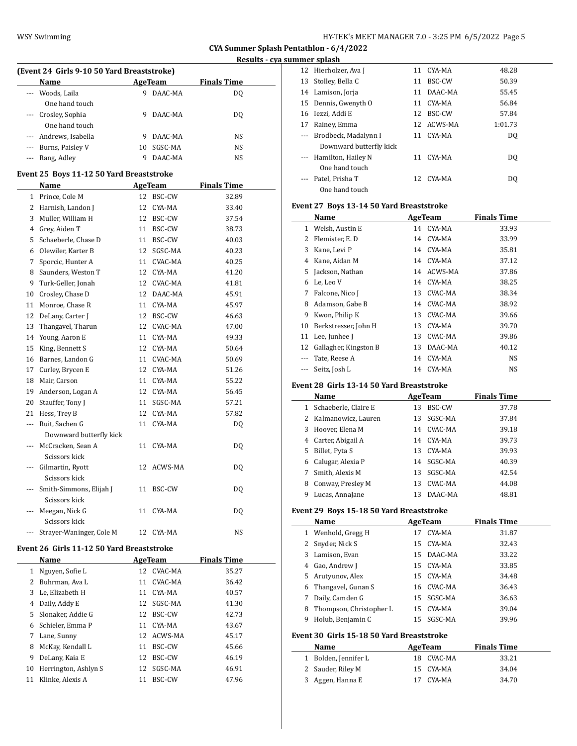### **Results - cya summer splash**

| (Event 24 Girls 9-10 50 Yard Breaststroke) |                                       |    |                |                    |  |  |  |
|--------------------------------------------|---------------------------------------|----|----------------|--------------------|--|--|--|
|                                            | Name                                  |    | <b>AgeTeam</b> | <b>Finals Time</b> |  |  |  |
|                                            | Woods, Laila<br>One hand touch        | 9  | DAAC-MA        | DO.                |  |  |  |
|                                            | --- Crosley, Sophia<br>One hand touch | 9  | DAAC-MA        | DO.                |  |  |  |
|                                            | --- Andrews, Isabella                 | 9  | DAAC-MA        | NS                 |  |  |  |
| $\cdots$                                   | Burns, Paisley V                      | 10 | SGSC-MA        | NS                 |  |  |  |
|                                            | Rang, Adley                           |    | DAAC-MA        | NS.                |  |  |  |

#### **Event 25 Boys 11-12 50 Yard Breaststroke**

|     | Name                     | <b>AgeTeam</b> |         | <b>Finals Time</b> |
|-----|--------------------------|----------------|---------|--------------------|
| 1   | Prince, Cole M           | 12             | BSC-CW  | 32.89              |
| 2   | Harnish, Landon J        | 12             | CYA-MA  | 33.40              |
| 3   | Muller, William H        | 12             | BSC-CW  | 37.54              |
| 4   | Grey, Aiden T            | 11             | BSC-CW  | 38.73              |
| 5   | Schaeberle, Chase D      | 11             | BSC-CW  | 40.03              |
| 6   | Olewiler, Karter B       | 12             | SGSC-MA | 40.23              |
| 7   | Sporcic, Hunter A        | 11             | CVAC-MA | 40.25              |
| 8   | Saunders, Weston T       | 12             | CYA-MA  | 41.20              |
| 9   | Turk-Geller, Jonah       | 12             | CVAC-MA | 41.81              |
| 10  | Crosley, Chase D         | 12             | DAAC-MA | 45.91              |
| 11  | Monroe, Chase R          | 11             | CYA-MA  | 45.97              |
| 12  | DeLany, Carter J         | 12             | BSC-CW  | 46.63              |
| 13  | Thangavel, Tharun        | 12             | CVAC-MA | 47.00              |
| 14  | Young, Aaron E           | 11             | CYA-MA  | 49.33              |
| 15  | King, Bennett S          | 12             | CYA-MA  | 50.64              |
| 16  | Barnes, Landon G         | 11             | CVAC-MA | 50.69              |
| 17  | Curley, Brycen E         | 12             | CYA-MA  | 51.26              |
| 18  | Mair, Carson             | 11             | CYA-MA  | 55.22              |
| 19  | Anderson, Logan A        | 12             | CYA-MA  | 56.45              |
| 20  | Stauffer, Tony J         | 11             | SGSC-MA | 57.21              |
| 21  | Hess, Trey B             | 12             | CYA-MA  | 57.82              |
| --- | Ruit, Sachen G           | 11             | CYA-MA  | DQ                 |
|     | Downward butterfly kick  |                |         |                    |
| --- | McCracken, Sean A        | 11             | CYA-MA  | DQ                 |
|     | Scissors kick            |                |         |                    |
| --- | Gilmartin, Ryott         | 12             | ACWS-MA | DQ                 |
|     | Scissors kick            |                |         |                    |
|     | Smith-Simmons, Elijah J  | 11             | BSC-CW  | DQ                 |
|     | Scissors kick            |                |         |                    |
| --- | Meegan, Nick G           | 11             | CYA-MA  | DO.                |
|     | Scissors kick            |                |         |                    |
|     | Strayer-Waninger, Cole M | 12             | CYA-MA  | NS                 |

### **Event 26 Girls 11-12 50 Yard Breaststroke**

|    | <b>Name</b>          |    | AgeTeam    | <b>Finals Time</b> |
|----|----------------------|----|------------|--------------------|
| 1  | Nguyen, Sofie L      |    | 12 CVAC-MA | 35.27              |
| 2  | Buhrman, Ava L       | 11 | CVAC-MA    | 36.42              |
| 3  | Le, Elizabeth H      | 11 | CYA-MA     | 40.57              |
| 4  | Daily, Addy E        |    | 12 SGSC-MA | 41.30              |
|    | 5 Slonaker, Addie G  | 12 | BSC-CW     | 42.73              |
| 6  | Schieler, Emma P     | 11 | CYA-MA     | 43.67              |
| 7  | Lane, Sunny          |    | 12 ACWS-MA | 45.17              |
| 8  | McKay, Kendall L     | 11 | BSC-CW     | 45.66              |
| 9  | DeLany, Kaia E       | 12 | BSC-CW     | 46.19              |
| 10 | Herrington, Ashlyn S | 12 | SGSC-MA    | 46.91              |
| 11 | Klinke, Alexis A     | 11 | BSC-CW     | 47.96              |

|    | шке эркази              |    |            |         |  |
|----|-------------------------|----|------------|---------|--|
|    | 12 Hierholzer, Ava J    |    | 11 CYA-MA  | 48.28   |  |
|    | 13 Stolley, Bella C     | 11 | BSC-CW     | 50.39   |  |
|    | 14 Lamison, Jorja       | 11 | DAAC-MA    | 55.45   |  |
|    | 15 Dennis, Gwenyth O    | 11 | CYA-MA     | 56.84   |  |
|    | 16 Iezzi. Addi E        | 12 | BSC-CW     | 57.84   |  |
| 17 | Rainey, Emma            |    | 12 ACWS-MA | 1:01.73 |  |
|    | Brodbeck, Madalynn I    |    | 11 CYA-MA  | DO.     |  |
|    | Downward butterfly kick |    |            |         |  |
|    | Hamilton, Hailey N      | 11 | CYA-MA     | DO.     |  |
|    | One hand touch          |    |            |         |  |
|    | Patel, Prisha T         |    | 12 CYA-MA  | DO      |  |
|    | One hand touch          |    |            |         |  |

# **Event 27 Boys 13-14 50 Yard Breaststroke**

|              | Name                  | <b>AgeTeam</b> |            | <b>Finals Time</b> |
|--------------|-----------------------|----------------|------------|--------------------|
| $\mathbf{1}$ | Welsh, Austin E       |                | 14 CYA-MA  | 33.93              |
| 2            | Flemister, E.D.       |                | 14 CYA-MA  | 33.99              |
| 3            | Kane, Levi P          |                | 14 CYA-MA  | 35.81              |
| 4            | Kane, Aidan M         |                | 14 CYA-MA  | 37.12              |
| 5.           | Jackson, Nathan       |                | 14 ACWS-MA | 37.86              |
| 6            | Le, Leo V             |                | 14 CYA-MA  | 38.25              |
| 7            | Falcone, Nico J       | 13             | CVAC-MA    | 38.34              |
| 8            | Adamson, Gabe B       |                | 14 CVAC-MA | 38.92              |
| 9            | Kwon, Philip K        | 13             | CVAC-MA    | 39.66              |
| 10           | Berkstresser, John H  | 13             | CYA-MA     | 39.70              |
|              | 11 Lee, Junhee J      | 13             | CVAC-MA    | 39.86              |
| 12           | Gallagher, Kingston B | 13             | DAAC-MA    | 40.12              |
|              | Tate, Reese A         | 14             | CYA-MA     | NS                 |
|              | Seitz, Josh L         |                | 14 CYA-MA  | NS.                |

#### **Event 28 Girls 13-14 50 Yard Breaststroke**

|    | Name                  | AgeTeam |         |       |
|----|-----------------------|---------|---------|-------|
| 1  | Schaeberle, Claire E  | 13      | BSC-CW  | 37.78 |
|    | 2 Kalmanowicz, Lauren | 13      | SGSC-MA | 37.84 |
|    | 3 Hoover, Elena M     | 14      | CVAC-MA | 39.18 |
|    | 4 Carter, Abigail A   | 14      | CYA-MA  | 39.73 |
| 5. | Billet, Pyta S        | 13      | CYA-MA  | 39.93 |
| 6  | Calugar, Alexia P     | 14      | SGSC-MA | 40.39 |
| 7  | Smith, Alexis M       | 13      | SGSC-MA | 42.54 |
| 8  | Conway, Presley M     | 13      | CVAC-MA | 44.08 |
| 9  | Lucas, AnnaJane       | 13      | DAAC-MA | 48.81 |

# **Event 29 Boys 15-18 50 Yard Breaststroke**

|                                           | Name                    |    | AgeTeam   | <b>Finals Time</b> |  |  |  |
|-------------------------------------------|-------------------------|----|-----------|--------------------|--|--|--|
|                                           | 1 Wenhold, Gregg H      | 17 | CYA-MA    | 31.87              |  |  |  |
| 2                                         | Snyder, Nick S          | 15 | CYA-MA    | 32.43              |  |  |  |
| 3                                         | Lamison, Evan           | 15 | DAAC-MA   | 33.22              |  |  |  |
| 4                                         | Gao, Andrew J           | 15 | CYA-MA    | 33.85              |  |  |  |
| 5                                         | Arutyunov, Alex         |    | 15 CYA-MA | 34.48              |  |  |  |
| 6                                         | Thangavel, Gunan S      | 16 | CVAC-MA   | 36.43              |  |  |  |
| 7                                         | Daily, Camden G         | 15 | SGSC-MA   | 36.63              |  |  |  |
| 8                                         | Thompson, Christopher L | 15 | CYA-MA    | 39.04              |  |  |  |
| 9                                         | Holub, Benjamin C       | 15 | SGSC-MA   | 39.96              |  |  |  |
| Event 30 Girls 15-18 50 Yard Breaststroke |                         |    |           |                    |  |  |  |
|                                           | Name                    |    | AgeTeam   | <b>Finals Time</b> |  |  |  |
| 1                                         | Bolden, Jennifer L      | 18 | CVAC-MA   | 33.21              |  |  |  |
| 2                                         | Sauder, Riley M         | 15 | CYA-MA    | 34.04              |  |  |  |
| 3                                         | Aggen, Hanna E          | 17 | CYA-MA    | 34.70              |  |  |  |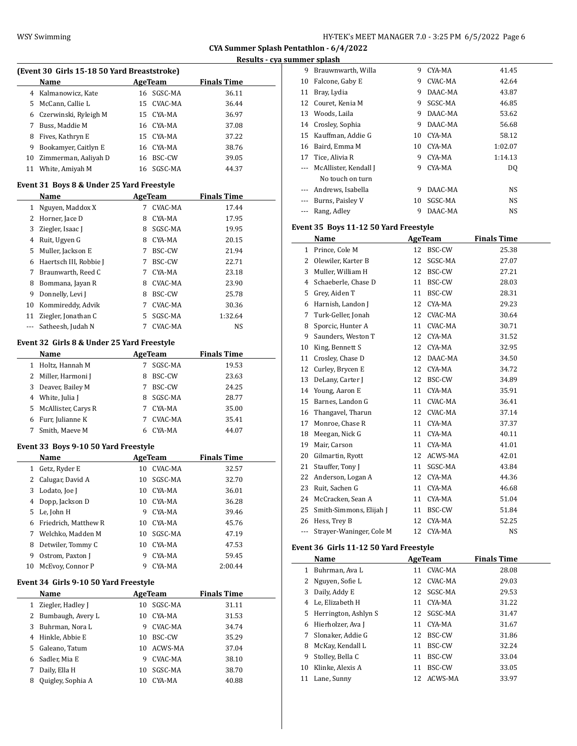**CYA Summer Splash Pentathlon - 6/4/2022 Results - cya summer splash**

|    | Name                  | AgeTeam    | <b>Finals Time</b> |
|----|-----------------------|------------|--------------------|
|    | 4 Kalmanowicz, Kate   | 16 SGSC-MA | 36.11              |
| 5. | McCann, Callie L      | 15 CVAC-MA | 36.44              |
| 6  | Czerwinski, Ryleigh M | 15 CYA-MA  | 36.97              |
| 7  | Buss. Maddie M        | 16 CYA-MA  | 37.08              |
| 8  | Fives, Kathryn E      | 15 CYA-MA  | 37.22              |
| 9  | Bookamyer, Caitlyn E  | 16 CYA-MA  | 38.76              |
| 10 | Zimmerman, Aaliyah D  | 16 BSC-CW  | 39.05              |
| 11 | White, Amiyah M       | 16 SGSC-MA | 44.37              |

| <b>Name</b> |                                            |   | <b>AgeTeam</b> | <b>Finals Time</b> |  |
|-------------|--------------------------------------------|---|----------------|--------------------|--|
| 1           | Nguyen, Maddox X                           | 7 | CVAC-MA        | 17.44              |  |
| 2           | Horner, Jace D                             | 8 | CYA-MA         | 17.95              |  |
| 3           | Ziegler, Isaac J                           | 8 | SGSC-MA        | 19.95              |  |
| 4           | Ruit, Ugyen G                              | 8 | CYA-MA         | 20.15              |  |
| 5           | Muller, Jackson E                          | 7 | BSC-CW         | 21.94              |  |
| 6           | Haertsch III, Robbie J                     | 7 | BSC-CW         | 22.71              |  |
| 7           | Braunwarth, Reed C                         | 7 | CYA-MA         | 23.18              |  |
| 8           | Bommana, Jayan R                           | 8 | CVAC-MA        | 23.90              |  |
| 9           | Donnelly, Levi J                           | 8 | BSC-CW         | 25.78              |  |
| 10          | Kommireddy, Advik                          | 7 | CVAC-MA        | 30.36              |  |
| 11          | Ziegler, Jonathan C                        | 5 | SGSC-MA        | 1:32.64            |  |
| $\cdots$    | Satheesh, Judah N                          | 7 | CVAC-MA        | NS                 |  |
|             | Event 32 Girls 8 & Under 25 Yard Freestyle |   |                |                    |  |
|             | Name                                       |   | AgeTeam        | <b>Finals Time</b> |  |
| 1           | Holtz, Hannah M                            | 7 | SGSC-MA        | 19.53              |  |
| 2           | Miller, Harmoni J                          | 8 | BSC-CW         | 23.63              |  |
| 3           | Deaver, Bailey M                           | 7 | BSC-CW         | 24.25              |  |
| 4           | White, Julia J                             | 8 | SGSC-MA        | 28.77              |  |
| 5           | McAllister, Carys R                        | 7 | CYA-MA         | 35.00              |  |
| 6           | Furr, Julianne K                           | 7 | CVAC-MA        | 35.41              |  |
| 7           | Smith, Maeve M                             | 6 | CYA-MA         | 44.07              |  |

### **Event 33 Boys 9-10 50 Yard Freestyle**

|              | Name                 |    | AgeTeam   | <b>Finals Time</b> |  |
|--------------|----------------------|----|-----------|--------------------|--|
| $\mathbf{1}$ | Getz, Ryder E        | 10 | CVAC-MA   | 32.57              |  |
|              | 2 Calugar, David A   | 10 | SGSC-MA   | 32.70              |  |
|              | 3 Lodato, Joe J      | 10 | CYA-MA    | 36.01              |  |
|              | 4 Dopp, Jackson D    |    | 10 CYA-MA | 36.28              |  |
|              | 5 Le, John H         | 9  | CYA-MA    | 39.46              |  |
| 6            | Friedrich, Matthew R | 10 | CYA-MA    | 45.76              |  |
| 7            | Welchko, Madden M    | 10 | SGSC-MA   | 47.19              |  |
| 8            | Detwiler, Tommy C    | 10 | CYA-MA    | 47.53              |  |
| 9            | Ostrom, Paxton J     | 9  | CYA-MA    | 59.45              |  |
| 10           | McEvoy, Connor P     |    | CYA-MA    | 2:00.44            |  |

### **Event 34 Girls 9-10 50 Yard Freestyle**

|    | Name                |    | AgeTeam | <b>Finals Time</b> |
|----|---------------------|----|---------|--------------------|
| 1  | Ziegler, Hadley J   | 10 | SGSC-MA | 31.11              |
|    | 2 Bumbaugh, Avery L | 10 | CYA-MA  | 31.53              |
| 3. | Buhrman, Nora L     | 9  | CVAC-MA | 34.74              |
|    | 4 Hinkle, Abbie E   | 10 | BSC-CW  | 35.29              |
|    | 5 Galeano, Tatum    | 10 | ACWS-MA | 37.04              |
|    | 6 Sadler, Mia E     | 9  | CVAC-MA | 38.10              |
| 7  | Daily, Ella H       | 10 | SGSC-MA | 38.70              |
| 8  | Quigley, Sophia A   | 10 | CYA-MA  | 40.88              |

| 9        | Brauwnwarth, Willa        | 9  | CYA-MA  | 41.45   |
|----------|---------------------------|----|---------|---------|
| 10       | Falcone, Gaby E           | 9  | CVAC-MA | 42.64   |
| 11       | Bray, Lydia               | 9  | DAAC-MA | 43.87   |
| 12       | Couret, Kenia M           | 9  | SGSC-MA | 46.85   |
| 13       | Woods, Laila              | 9  | DAAC-MA | 53.62   |
| 14       | Crosley, Sophia           | 9  | DAAC-MA | 56.68   |
| 15       | Kauffman, Addie G         | 10 | CYA-MA  | 58.12   |
| 16       | Baird, Emma M             | 10 | CYA-MA  | 1:02.07 |
| 17       | Tice, Alivia R            | 9  | CYA-MA  | 1:14.13 |
|          | --- McAllister, Kendall J | 9  | CYA-MA  | DO.     |
|          | No touch on turn          |    |         |         |
| $\cdots$ | Andrews, Isabella         | 9  | DAAC-MA | NS.     |
|          | Burns, Paisley V          | 10 | SGSC-MA | NS.     |
|          | Rang, Adley               | 9  | DAAC-MA | NS.     |

### **Event 35 Boys 11-12 50 Yard Freestyle**

|     | Name                     | AgeTeam |         | <b>Finals Time</b> |
|-----|--------------------------|---------|---------|--------------------|
| 1   | Prince, Cole M           | 12      | BSC-CW  | 25.38              |
| 2   | Olewiler, Karter B       | 12      | SGSC-MA | 27.07              |
| 3   | Muller, William H        | 12      | BSC-CW  | 27.21              |
| 4   | Schaeberle, Chase D      | 11      | BSC-CW  | 28.03              |
| 5   | Grey, Aiden T            | 11      | BSC-CW  | 28.31              |
| 6   | Harnish, Landon J        | 12      | CYA-MA  | 29.23              |
| 7   | Turk-Geller, Jonah       | 12      | CVAC-MA | 30.64              |
| 8   | Sporcic, Hunter A        | 11      | CVAC-MA | 30.71              |
| 9   | Saunders, Weston T       | 12      | CYA-MA  | 31.52              |
| 10  | King, Bennett S          | 12      | CYA-MA  | 32.95              |
| 11  | Crosley, Chase D         | 12      | DAAC-MA | 34.50              |
| 12  | Curley, Brycen E         | 12      | CYA-MA  | 34.72              |
| 13  | DeLany, Carter J         | 12      | BSC-CW  | 34.89              |
| 14  | Young, Aaron E           | 11      | CYA-MA  | 35.91              |
| 15  | Barnes, Landon G         | 11      | CVAC-MA | 36.41              |
| 16  | Thangavel, Tharun        | 12      | CVAC-MA | 37.14              |
| 17  | Monroe, Chase R          | 11      | CYA-MA  | 37.37              |
| 18  | Meegan, Nick G           | 11      | CYA-MA  | 40.11              |
| 19  | Mair, Carson             | 11      | CYA-MA  | 41.01              |
| 20  | Gilmartin, Ryott         | 12      | ACWS-MA | 42.01              |
| 21  | Stauffer, Tony J         | 11      | SGSC-MA | 43.84              |
| 22  | Anderson, Logan A        | 12      | CYA-MA  | 44.36              |
| 23  | Ruit, Sachen G           | 11      | CYA-MA  | 46.68              |
| 24  | McCracken, Sean A        | 11      | CYA-MA  | 51.04              |
| 25  | Smith-Simmons, Elijah J  | 11      | BSC-CW  | 51.84              |
| 26  | Hess, Trey B             | 12      | CYA-MA  | 52.25              |
| --- | Strayer-Waninger, Cole M | 12      | CYA-MA  | <b>NS</b>          |

# **Event 36 Girls 11-12 50 Yard Freestyle**

|              | Name                   |    | AgeTeam    | <b>Finals Time</b> |
|--------------|------------------------|----|------------|--------------------|
| 1            | Buhrman, Ava L         | 11 | CVAC-MA    | 28.08              |
| $\mathbf{Z}$ | Nguyen, Sofie L        |    | 12 CVAC-MA | 29.03              |
| 3            | Daily, Addy E          |    | 12 SGSC-MA | 29.53              |
| 4            | Le, Elizabeth H        | 11 | CYA-MA     | 31.22              |
|              | 5 Herrington, Ashlyn S |    | 12 SGSC-MA | 31.47              |
| 6            | Hierholzer, Ava J      | 11 | CYA-MA     | 31.67              |
| 7            | Slonaker, Addie G      |    | 12 BSC-CW  | 31.86              |
| 8            | McKay, Kendall L       | 11 | BSC-CW     | 32.24              |
| 9            | Stolley, Bella C       | 11 | BSC-CW     | 33.04              |
| 10           | Klinke, Alexis A       | 11 | BSC-CW     | 33.05              |
| 11           | Lane, Sunny            |    | 12 ACWS-MA | 33.97              |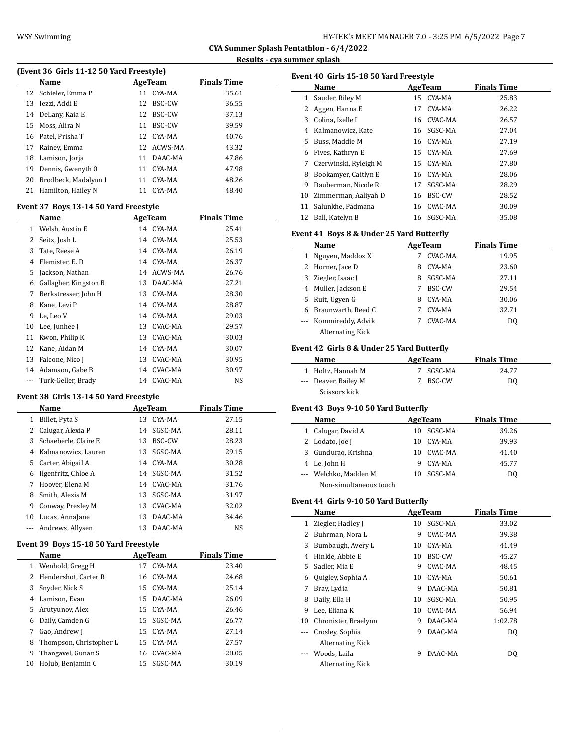#### **Results - cya summer splash**

| (Event 36 Girls 11-12 50 Yard Freestyle) |                      |    |            |                    |  |  |  |
|------------------------------------------|----------------------|----|------------|--------------------|--|--|--|
|                                          | Name                 |    | AgeTeam    | <b>Finals Time</b> |  |  |  |
|                                          | 12 Schieler, Emma P  | 11 | CYA-MA     | 35.61              |  |  |  |
| 13                                       | Iezzi. Addi E        |    | 12 BSC-CW  | 36.55              |  |  |  |
|                                          | 14 DeLany, Kaia E    | 12 | BSC-CW     | 37.13              |  |  |  |
| 15                                       | Moss. Alira N        | 11 | BSC-CW     | 39.59              |  |  |  |
|                                          | 16 Patel, Prisha T   |    | 12 CYA-MA  | 40.76              |  |  |  |
| 17                                       | Rainey, Emma         |    | 12 ACWS-MA | 43.32              |  |  |  |
| 18                                       | Lamison, Jorja       | 11 | DAAC-MA    | 47.86              |  |  |  |
| 19                                       | Dennis, Gwenyth O    | 11 | CYA-MA     | 47.98              |  |  |  |
| 20                                       | Brodbeck, Madalynn I |    | 11 CYA-MA  | 48.26              |  |  |  |
|                                          | .                    |    | .          | $\cdots$           |  |  |  |

21 Hamilton, Hailey N 11 CYA-MA 48.40

### **Event 37 Boys 13-14 50 Yard Freestyle**

| Name                  |    |         | <b>Finals Time</b>                         |
|-----------------------|----|---------|--------------------------------------------|
| Welsh, Austin E       | 14 | CYA-MA  | 25.41                                      |
| Seitz, Josh L         | 14 | CYA-MA  | 25.53                                      |
| Tate, Reese A         | 14 |         | 26.19                                      |
| Flemister, E.D        | 14 | CYA-MA  | 26.37                                      |
| Jackson, Nathan       | 14 |         | 26.76                                      |
| Gallagher, Kingston B | 13 | DAAC-MA | 27.21                                      |
| Berkstresser, John H  | 13 | CYA-MA  | 28.30                                      |
| Kane, Levi P          | 14 | CYA-MA  | 28.87                                      |
| Le, Leo V             | 14 | CYA-MA  | 29.03                                      |
| Lee, Junhee J         | 13 | CVAC-MA | 29.57                                      |
| Kwon, Philip K        | 13 | CVAC-MA | 30.03                                      |
| Kane, Aidan M         | 14 | CYA-MA  | 30.07                                      |
| Falcone, Nico I       | 13 | CVAC-MA | 30.95                                      |
| Adamson, Gabe B       |    |         | 30.97                                      |
| Turk-Geller, Brady    | 14 | CVAC-MA | <b>NS</b>                                  |
|                       |    |         | AgeTeam<br>CYA-MA<br>ACWS-MA<br>14 CVAC-MA |

#### **Event 38 Girls 13-14 50 Yard Freestyle**

|    | Name                 |    | AgeTeam       | <b>Finals Time</b> |  |
|----|----------------------|----|---------------|--------------------|--|
| 1  | Billet, Pyta S       | 13 | CYA-MA        | 27.15              |  |
|    | Calugar, Alexia P    | 14 | SGSC-MA       | 28.11              |  |
| 3  | Schaeberle, Claire E | 13 | <b>BSC-CW</b> | 28.23              |  |
| 4  | Kalmanowicz, Lauren  | 13 | SGSC-MA       | 29.15              |  |
|    | 5 Carter, Abigail A  | 14 | CYA-MA        | 30.28              |  |
| 6  | Ilgenfritz, Chloe A  |    | 14 SGSC-MA    | 31.52              |  |
| 7  | Hoover, Elena M      | 14 | CVAC-MA       | 31.76              |  |
| 8  | Smith, Alexis M      | 13 | SGSC-MA       | 31.97              |  |
| 9  | Conway, Preslev M    | 13 | CVAC-MA       | 32.02              |  |
| 10 | Lucas, AnnaJane      | 13 | DAAC-MA       | 34.46              |  |
|    | Andrews, Allysen     | 13 | DAAC-MA       | NS                 |  |

### **Event 39 Boys 15-18 50 Yard Freestyle**

|    | Name                    |    | AgeTeam    | <b>Finals Time</b> |  |
|----|-------------------------|----|------------|--------------------|--|
| 1  | Wenhold, Gregg H        | 17 | CYA-MA     | 23.40              |  |
| 2  | Hendershot, Carter R    |    | 16 CYA-MA  | 24.68              |  |
| 3  | Snyder, Nick S          |    | 15 CYA-MA  | 25.14              |  |
| 4  | Lamison, Evan           |    | 15 DAAC-MA | 26.09              |  |
| 5  | Arutyunov, Alex         |    | 15 CYA-MA  | 26.46              |  |
| 6  | Daily, Camden G         |    | 15 SGSC-MA | 26.77              |  |
| 7  | Gao, Andrew J           |    | 15 CYA-MA  | 27.14              |  |
| 8  | Thompson, Christopher L |    | 15 CYA-MA  | 27.57              |  |
| 9  | Thangavel, Gunan S      |    | 16 CVAC-MA | 28.05              |  |
| 10 | Holub, Benjamin C       |    | 15 SGSC-MA | 30.19              |  |

|                                           | Event 40 Girls 15-18 50 Yard Freestyle     |    |                |                    |  |  |  |  |
|-------------------------------------------|--------------------------------------------|----|----------------|--------------------|--|--|--|--|
|                                           | Name                                       |    | <b>AgeTeam</b> | <b>Finals Time</b> |  |  |  |  |
| $\mathbf{1}$                              | Sauder, Riley M                            |    | 15 CYA-MA      | 25.83              |  |  |  |  |
|                                           | 2 Aggen, Hanna E                           | 17 | CYA-MA         | 26.22              |  |  |  |  |
|                                           | 3 Colina, Izelle I                         | 16 | CVAC-MA        | 26.57              |  |  |  |  |
| 4                                         | Kalmanowicz, Kate                          |    | 16 SGSC-MA     | 27.04              |  |  |  |  |
| 5                                         | Buss, Maddie M                             |    | 16 CYA-MA      | 27.19              |  |  |  |  |
| 6                                         | Fives, Kathryn E                           |    | 15 CYA-MA      | 27.69              |  |  |  |  |
| 7                                         | Czerwinski, Ryleigh M                      | 15 | CYA-MA         | 27.80              |  |  |  |  |
| 8                                         | Bookamyer, Caitlyn E                       |    | 16 CYA-MA      | 28.06              |  |  |  |  |
| 9                                         | Dauberman, Nicole R                        | 17 | SGSC-MA        | 28.29              |  |  |  |  |
| 10                                        | Zimmerman, Aaliyah D                       | 16 | BSC-CW         | 28.52              |  |  |  |  |
| 11                                        | Salunkhe, Padmana                          | 16 | CVAC-MA        | 30.09              |  |  |  |  |
| 12                                        | Ball, Katelyn B                            |    | 16 SGSC-MA     | 35.08              |  |  |  |  |
| Event 41 Boys 8 & Under 25 Yard Butterfly |                                            |    |                |                    |  |  |  |  |
|                                           | Name                                       |    | AgeTeam        | <b>Finals Time</b> |  |  |  |  |
| 1                                         | Nguyen, Maddox X                           | 7  | CVAC-MA        | 19.95              |  |  |  |  |
| 2                                         | Horner, Jace D                             | 8  | CYA-MA         | 23.60              |  |  |  |  |
| 3                                         | Ziegler, Isaac J                           |    | 8 SGSC-MA      | 27.11              |  |  |  |  |
|                                           | 4 Muller, Jackson E                        |    | 7 BSC-CW       | 29.54              |  |  |  |  |
| 5                                         | Ruit, Ugyen G                              | 8  | CYA-MA         | 30.06              |  |  |  |  |
| 6                                         | Braunwarth, Reed C                         | 7  | CYA-MA         | 32.71              |  |  |  |  |
|                                           | Kommireddy, Advik                          | 7  | CVAC-MA        | DQ                 |  |  |  |  |
|                                           | <b>Alternating Kick</b>                    |    |                |                    |  |  |  |  |
|                                           | Event 42 Girls 8 & Under 25 Yard Butterfly |    |                |                    |  |  |  |  |
|                                           | Name                                       |    | AgeTeam        | <b>Finals Time</b> |  |  |  |  |
| 1                                         | Holtz, Hannah M                            | 7  | SGSC-MA        | 24.77              |  |  |  |  |
| ---                                       | Deaver, Bailey M                           | 7  | BSC-CW         | DQ                 |  |  |  |  |
|                                           | Scissors kick                              |    |                |                    |  |  |  |  |
|                                           | Event 43 Boys 9-10 50 Yard Butterfly       |    |                |                    |  |  |  |  |
|                                           | Name                                       |    | <b>AgeTeam</b> | <b>Finals Time</b> |  |  |  |  |

| Name                   | AgeTeam |            | <b>Finals Time</b> |  |
|------------------------|---------|------------|--------------------|--|
| Calugar, David A       |         | 10 SGSC-MA | 39.26              |  |
| 2 Lodato, Joe J        | 10      | CYA-MA     | 39.93              |  |
| 3 Gundurao, Krishna    |         | 10 CVAC-MA | 41.40              |  |
| 4 Le, John H           |         | CYA-MA     | 45.77              |  |
| --- Welchko, Madden M  |         | 10 SGSC-MA | DO.                |  |
| Non-simultaneous touch |         |            |                    |  |

### **Event 44 Girls 9-10 50 Yard Butterfly**

|    | Name                    |    | AgeTeam | <b>Finals Time</b> |  |
|----|-------------------------|----|---------|--------------------|--|
| 1  | Ziegler, Hadley J       | 10 | SGSC-MA | 33.02              |  |
| 2  | Buhrman, Nora L         | 9  | CVAC-MA | 39.38              |  |
| 3  | Bumbaugh, Avery L       | 10 | CYA-MA  | 41.49              |  |
| 4  | Hinkle, Abbie E         | 10 | BSC-CW  | 45.27              |  |
| 5  | Sadler, Mia E           | 9  | CVAC-MA | 48.45              |  |
| 6  | Quigley, Sophia A       | 10 | CYA-MA  | 50.61              |  |
| 7  | Bray, Lydia             | 9  | DAAC-MA | 50.81              |  |
| 8  | Daily, Ella H           | 10 | SGSC-MA | 50.95              |  |
| 9  | Lee, Eliana K           | 10 | CVAC-MA | 56.94              |  |
| 10 | Chronister, Braelynn    | 9  | DAAC-MA | 1:02.78            |  |
|    | Crosley, Sophia         | 9  | DAAC-MA | DQ                 |  |
|    | <b>Alternating Kick</b> |    |         |                    |  |
|    | Woods, Laila            | 9  | DAAC-MA | DQ                 |  |
|    | <b>Alternating Kick</b> |    |         |                    |  |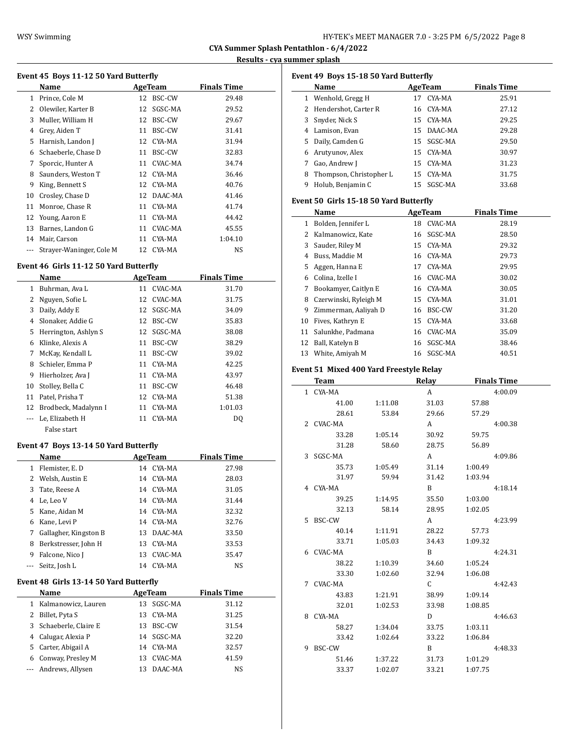#### **Results - cya summer splash**

|  |  | Event 45 Boys 11-12 50 Yard Butterfly |
|--|--|---------------------------------------|

|    | Name                     |    | AgeTeam    | <b>Finals Time</b> |
|----|--------------------------|----|------------|--------------------|
| 1  | Prince, Cole M           | 12 | BSC-CW     | 29.48              |
| 2  | Olewiler, Karter B       | 12 | SGSC-MA    | 29.52              |
| 3  | Muller, William H        | 12 | BSC-CW     | 29.67              |
| 4  | Grey, Aiden T            | 11 | BSC-CW     | 31.41              |
| 5  | Harnish, Landon J        | 12 | CYA-MA     | 31.94              |
| 6  | Schaeberle, Chase D      | 11 | BSC-CW     | 32.83              |
| 7  | Sporcic, Hunter A        | 11 | CVAC-MA    | 34.74              |
| 8  | Saunders, Weston T       | 12 | CYA-MA     | 36.46              |
| 9  | King, Bennett S          |    | 12 CYA-MA  | 40.76              |
| 10 | Crosley, Chase D         |    | 12 DAAC-MA | 41.46              |
| 11 | Monroe, Chase R          | 11 | CYA-MA     | 41.74              |
| 12 | Young, Aaron E           | 11 | CYA-MA     | 44.42              |
| 13 | Barnes, Landon G         | 11 | CVAC-MA    | 45.55              |
| 14 | Mair, Carson             | 11 | CYA-MA     | 1:04.10            |
|    | Strayer-Waninger, Cole M |    | 12 CYA-MA  | NS                 |

#### **Event 46 Girls 11-12 50 Yard Butterfly**

|    | Name                 |    | AgeTeam | <b>Finals Time</b> |  |
|----|----------------------|----|---------|--------------------|--|
| 1  | Buhrman, Ava L       | 11 | CVAC-MA | 31.70              |  |
| 2  | Nguyen, Sofie L      | 12 | CVAC-MA | 31.75              |  |
| 3  | Daily, Addy E        | 12 | SGSC-MA | 34.09              |  |
| 4  | Slonaker, Addie G    | 12 | BSC-CW  | 35.83              |  |
| 5  | Herrington, Ashlyn S | 12 | SGSC-MA | 38.08              |  |
| 6  | Klinke, Alexis A     | 11 | BSC-CW  | 38.29              |  |
| 7  | McKay, Kendall L     | 11 | BSC-CW  | 39.02              |  |
| 8  | Schieler, Emma P     | 11 | CYA-MA  | 42.25              |  |
| 9  | Hierholzer, Ava J    | 11 | CYA-MA  | 43.97              |  |
| 10 | Stolley, Bella C     | 11 | BSC-CW  | 46.48              |  |
| 11 | Patel, Prisha T      | 12 | CYA-MA  | 51.38              |  |
| 12 | Brodbeck, Madalynn I | 11 | CYA-MA  | 1:01.03            |  |
|    | Le, Elizabeth H      | 11 | CYA-MA  | DQ                 |  |
|    | False start          |    |         |                    |  |

### **Event 47 Boys 13-14 50 Yard Butterfly**

|    | <b>Name</b>           | AgeTeam |           | <b>Finals Time</b> |
|----|-----------------------|---------|-----------|--------------------|
| 1  | Flemister, E.D.       |         | 14 CYA-MA | 27.98              |
|    | 2 Welsh, Austin E     | 14      | CYA-MA    | 28.03              |
| 3. | Tate, Reese A         | 14      | CYA-MA    | 31.05              |
| 4  | Le, Leo V             |         | 14 CYA-MA | 31.44              |
|    | 5 Kane. Aidan M       |         | 14 CYA-MA | 32.32              |
| 6  | Kane, Levi P          |         | 14 CYA-MA | 32.76              |
| 7  | Gallagher, Kingston B | 13      | DAAC-MA   | 33.50              |
| 8  | Berkstresser, John H  | 13      | CYA-MA    | 33.53              |
| 9  | Falcone, Nico J       | 13      | CVAC-MA   | 35.47              |
|    | Seitz, Josh L         | 14      | CYA-MA    | <b>NS</b>          |

#### **Event 48 Girls 13-14 50 Yard Butterfly**

| Name                   |     | AgeTeam    | <b>Finals Time</b> |
|------------------------|-----|------------|--------------------|
| 1 Kalmanowicz, Lauren  | 13  | SGSC-MA    | 31.12              |
| 2 Billet, Pyta S       | 13. | CYA-MA     | 31.25              |
| 3 Schaeberle, Claire E | 13. | BSC-CW     | 31.54              |
| 4 Calugar, Alexia P    |     | 14 SGSC-MA | 32.20              |
| 5 Carter, Abigail A    | 14  | CYA-MA     | 32.57              |
| 6 Conway, Presley M    | 13. | CVAC-MA    | 41.59              |
| --- Andrews, Allysen   | 13  | DAAC-MA    | NS                 |

|              | Event 49 Boys 15-18 50 Yard Butterfly<br>Name  |         |    | AgeTeam    |         | <b>Finals Time</b> |
|--------------|------------------------------------------------|---------|----|------------|---------|--------------------|
|              | 1 Wenhold, Gregg H                             |         | 17 | CYA-MA     |         | 25.91              |
|              | 2 Hendershot, Carter R                         |         |    | 16 CYA-MA  |         | 27.12              |
|              | 3 Snyder, Nick S                               |         |    | 15 CYA-MA  |         | 29.25              |
|              | 4 Lamison, Evan                                |         |    | 15 DAAC-MA |         | 29.28              |
|              | 5 Daily, Camden G                              |         |    | 15 SGSC-MA |         | 29.50              |
|              | 6 Arutyunov, Alex                              |         |    | 15 CYA-MA  |         | 30.97              |
|              | 7 Gao, Andrew J                                |         |    | 15 CYA-MA  |         | 31.23              |
|              | 8 Thompson, Christopher L                      |         |    | 15 CYA-MA  |         | 31.75              |
|              | 9 Holub, Benjamin C                            |         |    | 15 SGSC-MA |         | 33.68              |
|              |                                                |         |    |            |         |                    |
|              | Event 50 Girls 15-18 50 Yard Butterfly<br>Name |         |    | AgeTeam    |         | <b>Finals Time</b> |
|              | 1 Bolden, Jennifer L                           |         |    | 18 CVAC-MA |         | 28.19              |
|              |                                                |         |    |            |         |                    |
|              | 2 Kalmanowicz, Kate                            |         |    | 16 SGSC-MA |         | 28.50              |
|              | 3 Sauder, Riley M                              |         |    | 15 CYA-MA  |         | 29.32              |
|              | 4 Buss, Maddie M                               |         |    | 16 CYA-MA  |         | 29.73              |
|              | 5 Aggen, Hanna E                               |         |    | 17 CYA-MA  |         | 29.95              |
|              | 6 Colina, Izelle I                             |         |    | 16 CVAC-MA |         | 30.02              |
|              | 7 Bookamyer, Caitlyn E                         |         |    | 16 CYA-MA  |         | 30.05              |
|              | 8 Czerwinski, Ryleigh M                        |         |    | 15 CYA-MA  |         | 31.01              |
|              | 9 Zimmerman, Aaliyah D                         |         |    | 16 BSC-CW  |         | 31.20              |
|              | 10 Fives, Kathryn E                            |         |    | 15 CYA-MA  |         | 33.68              |
|              | 11 Salunkhe, Padmana                           |         |    | 16 CVAC-MA |         | 35.09              |
|              | 12 Ball, Katelyn B                             |         |    | 16 SGSC-MA |         | 38.46              |
|              | 13 White, Amiyah M                             |         |    | 16 SGSC-MA |         | 40.51              |
|              | Event 51 Mixed 400 Yard Freestyle Relay        |         |    |            |         |                    |
|              | Team                                           |         |    | Relay      |         | <b>Finals Time</b> |
| $\mathbf{1}$ | CYA-MA                                         |         |    | A          |         | 4:00.09            |
|              | 41.00                                          | 1:11.08 |    | 31.03      | 57.88   |                    |
|              | 28.61                                          | 53.84   |    | 29.66      | 57.29   |                    |
|              | 2 CVAC-MA                                      |         |    | A          |         | 4:00.38            |
|              | 33.28                                          | 1:05.14 |    | 30.92      | 59.75   |                    |
|              | 31.28                                          | 58.60   |    | 28.75      | 56.89   |                    |
| 3            | SGSC-MA                                        |         |    | A          |         | 4:09.86            |
|              | 35.73                                          | 1:05.49 |    | 31.14      | 1:00.49 |                    |
|              | 31.97                                          | 59.94   |    | 31.42      | 1:03.94 |                    |
| 4            | CYA-MA                                         |         |    | B          |         | 4:18.14            |
|              | 39.25                                          | 1:14.95 |    | 35.50      | 1:03.00 |                    |
|              | 32.13                                          | 58.14   |    | 28.95      | 1:02.05 |                    |
|              | 5 BSC-CW                                       |         |    | A          |         | 4:23.99            |
|              |                                                |         |    |            |         |                    |
|              | 40.14                                          | 1:11.91 |    | 28.22      | 57.73   |                    |
|              | 33.71                                          | 1:05.03 |    | 34.43      | 1:09.32 |                    |
|              | 6 CVAC-MA                                      |         |    | B          |         | 4:24.31            |
|              | 38.22                                          |         |    | 34.60      | 1:05.24 |                    |
|              |                                                | 1:10.39 |    |            |         |                    |
|              | 33.30<br>7 CVAC-MA                             | 1:02.60 |    | 32.94      | 1:06.08 |                    |
|              |                                                |         |    | C          |         | 4:42.43            |
|              | 43.83                                          | 1:21.91 |    | 38.99      | 1:09.14 |                    |
|              | 32.01                                          | 1:02.53 |    | 33.98      | 1:08.85 |                    |
|              | 8 CYA-MA                                       |         |    | D          |         | 4:46.63            |
|              | 58.27                                          | 1:34.04 |    | 33.75      | 1:03.11 |                    |
|              | 33.42<br>9 BSC-CW                              | 1:02.64 |    | 33.22<br>B | 1:06.84 | 4:48.33            |

51.46 1:37.22 31.73 1:01.29 33.37 1:02.07 33.21 1:07.75